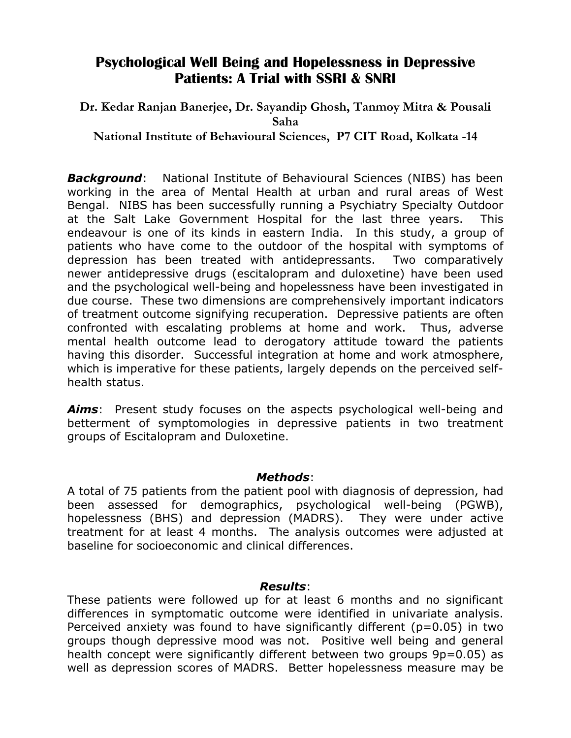## **Psychological Well Being and Hopelessness in Depressive Patients: A Trial with SSRI & SNRI**

**Dr. Kedar Ranjan Banerjee, Dr. Sayandip Ghosh, Tanmoy Mitra & Pousali Saha**

**National Institute of Behavioural Sciences, P7 CIT Road, Kolkata -14**

*Background*: National Institute of Behavioural Sciences (NIBS) has been working in the area of Mental Health at urban and rural areas of West Bengal. NIBS has been successfully running a Psychiatry Specialty Outdoor at the Salt Lake Government Hospital for the last three years. This endeavour is one of its kinds in eastern India. In this study, a group of patients who have come to the outdoor of the hospital with symptoms of depression has been treated with antidepressants. Two comparatively newer antidepressive drugs (escitalopram and duloxetine) have been used and the psychological well-being and hopelessness have been investigated in due course. These two dimensions are comprehensively important indicators of treatment outcome signifying recuperation. Depressive patients are often confronted with escalating problems at home and work. Thus, adverse mental health outcome lead to derogatory attitude toward the patients having this disorder. Successful integration at home and work atmosphere, which is imperative for these patients, largely depends on the perceived selfhealth status.

*Aims*: Present study focuses on the aspects psychological well-being and betterment of symptomologies in depressive patients in two treatment groups of Escitalopram and Duloxetine.

## *Methods*:

A total of 75 patients from the patient pool with diagnosis of depression, had been assessed for demographics, psychological well-being (PGWB), hopelessness (BHS) and depression (MADRS). They were under active treatment for at least 4 months. The analysis outcomes were adjusted at baseline for socioeconomic and clinical differences.

## *Results*:

These patients were followed up for at least 6 months and no significant differences in symptomatic outcome were identified in univariate analysis. Perceived anxiety was found to have significantly different (p=0.05) in two groups though depressive mood was not. Positive well being and general health concept were significantly different between two groups 9p=0.05) as well as depression scores of MADRS. Better hopelessness measure may be